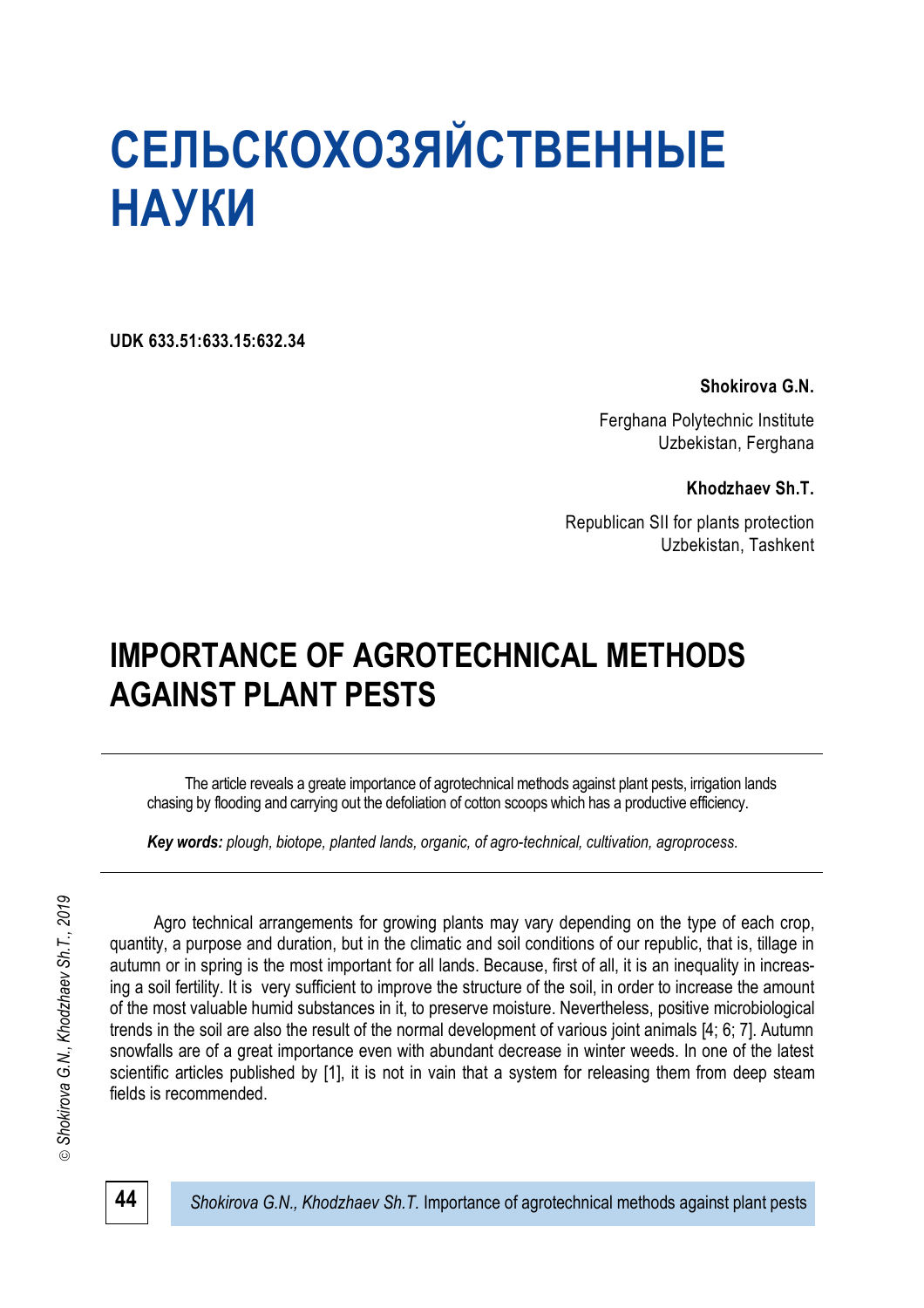**UDK 633.51:633.15:632.34**

# **Shokirova G.N.**

Ferghana Polytechnic Institute Uzbekistan, Ferghana

**Khodzhaev Sh.T.**

Republican SII for plants protection Uzbekistan, Tashkent

# **IMPORTANCE OF AGROTECHNICAL METHODS AGAINST PLANT PESTS**

The article reveals a greate importance of agrotechnical methods against plant pests, irrigation lands chasing by flooding and carrying out the defoliation of cotton scoops which has a productive efficiency.

*Key words: plough, biotope, рlanted lands, organic, of agro-technical, cultivation, agroprocess.*

Shokirova G.N., Khodzhaev Sh.T., 2019 *Shokirova G.N., Khodzhaev Sh.T., 2019*⊚

Agro technical arrangements for growing plants may vary depending on the type of each crop, quantity, a purpose and duration, but in the climatic and soil conditions of our republic, that is, tillage in autumn or in spring is the most important for all lands. Because, first of all, it is an inequality in increasing a soil fertility. It is very sufficient to improve the structure of the soil, in order to increase the amount of the most valuable humid substances in it, to preserve moisture. Nevertheless, positive microbiological trends in the soil are also the result of the normal development of various joint animals [4; 6; 7]. Autumn snowfalls are of a great importance even with abundant decrease in winter weeds. In one of the latest scientific articles published by [1], it is not in vain that a system for releasing them from deep steam fields is recommended.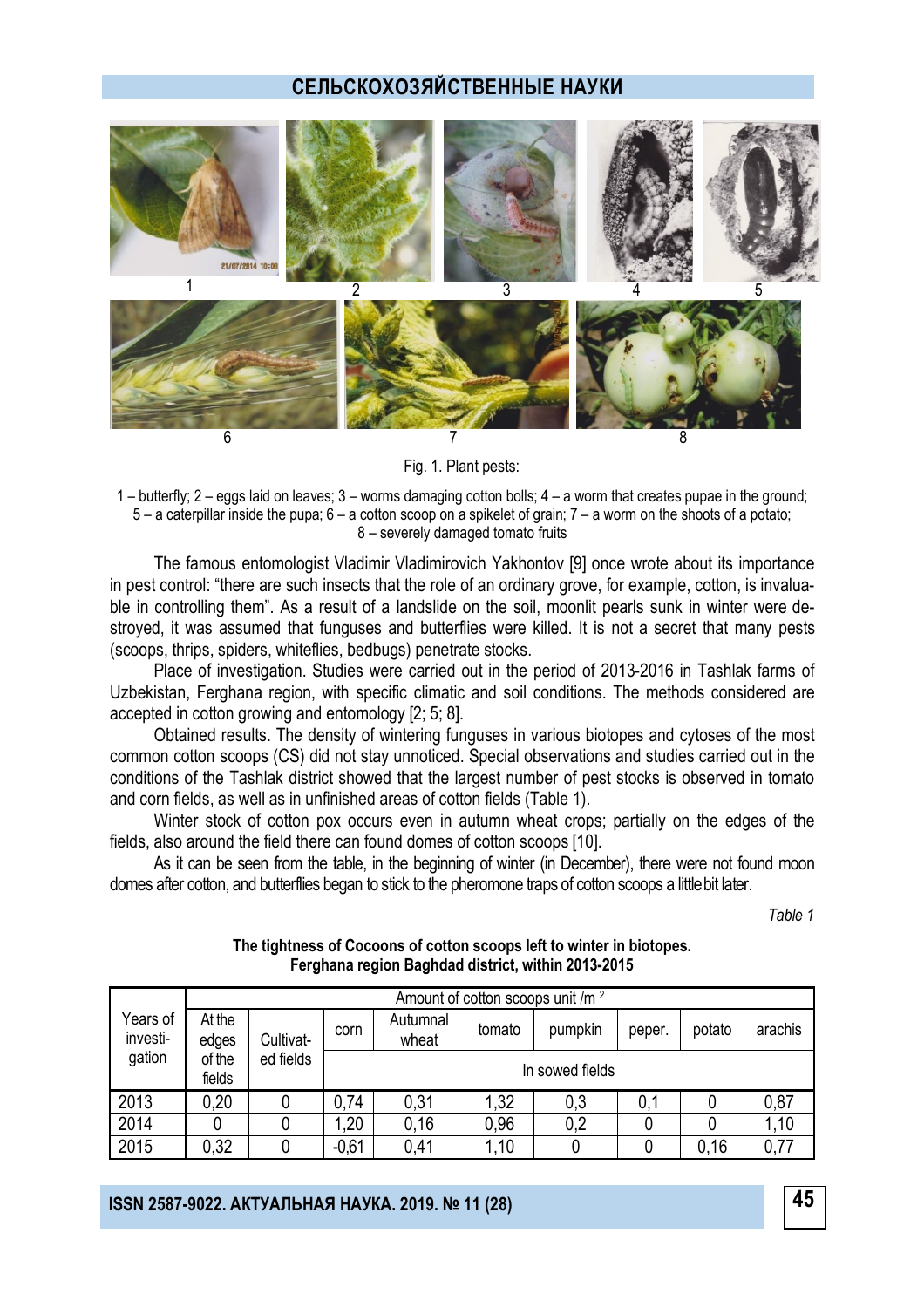

Fig. 1. Plant pests:

1 – butterfly; 2 – eggs laid on leaves; 3 – worms damaging cotton bolls; 4 – a worm that creates pupae in the ground; 5 – a caterpillar inside the pupa; 6 – a cotton scoop on a spikelet of grain; 7 – a worm on the shoots of a potato; 8 – severely damaged tomato fruits

The famous entomologist Vladimir Vladimirovich Yakhontov [9] once wrote about its importance in pest control: "there are such insects that the role of an ordinary grove, for example, cotton, is invaluable in controlling them". As a result of a landslide on the soil, moonlit pearls sunk in winter were destroyed, it was assumed that funguses and butterflies were killed. It is not a secret that many pests (scoops, thrips, spiders, whiteflies, bedbugs) penetrate stocks.

Place of investigation. Studies were carried out in the period of 2013-2016 in Tashlak farms of Uzbekistan, Ferghana region, with specific climatic and soil conditions. The methods considered are accepted in cotton growing and entomology [2; 5; 8].

Obtained results. The density of wintering funguses in various biotopes and cytoses of the most common cotton scoops (CS) did not stay unnoticed. Special observations and studies carried out in the conditions of the Tashlak district showed that the largest number of pest stocks is observed in tomato and corn fields, as well as in unfinished areas of cotton fields (Table 1).

Winter stock of cotton pox occurs even in autumn wheat crops; partially on the edges of the fields, also around the field there can found domes of cotton scoops [10].

As it can be seen from the table, in the beginning of winter (in December), there were not found moon domes after cotton, and butterflies began to stick to the pheromone traps of cotton scoops a little bit later.

*Table 1*

|                                | Amount of cotton scoops unit /m <sup>2</sup> |                        |                 |                   |        |         |        |        |         |  |
|--------------------------------|----------------------------------------------|------------------------|-----------------|-------------------|--------|---------|--------|--------|---------|--|
| Years of<br>investi-<br>gation | At the<br>edges<br>of the<br>fields          | Cultivat-<br>ed fields | corn            | Autumnal<br>wheat | tomato | pumpkin | peper. | potato | arachis |  |
|                                |                                              |                        | In sowed fields |                   |        |         |        |        |         |  |
| 2013                           | 0,20                                         |                        | 0,74            | 0,31              | 1,32   | 0,3     | 0,1    |        | 0,87    |  |
| 2014                           |                                              |                        | .20             | 0,16              | 0,96   | 0,2     |        |        | 1,10    |  |
| 2015                           | 0,32                                         |                        | $-0,61$         | 0,41              | ,10    |         |        | 0,16   | 0,77    |  |

#### **The tightness of Cocoons of cotton scoops left to winter in biotopes. Ferghana region Baghdad district, within 2013-2015**

**45 ISSN 2587-9022. АКТУАЛЬНАЯ НАУКА. 2019. № 11 (28)**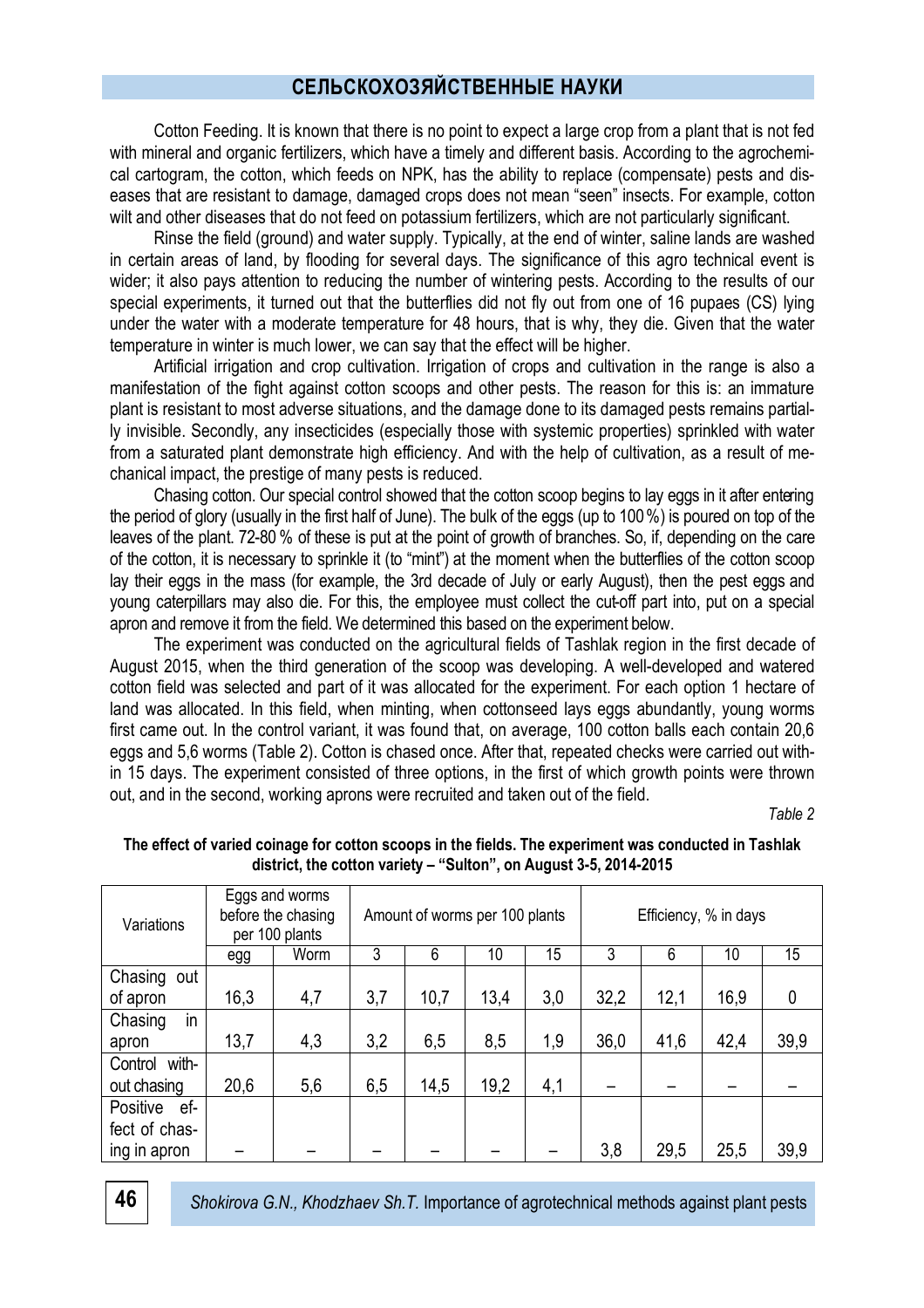Cotton Feeding. It is known that there is no point to expect a large crop from a plant that is not fed with mineral and organic fertilizers, which have a timely and different basis. According to the agrochemical cartogram, the cotton, which feeds on NPK, has the ability to replace (compensate) pests and diseases that are resistant to damage, damaged crops does not mean "seen" insects. For example, cotton wilt and other diseases that do not feed on potassium fertilizers, which are not particularly significant.

Rinse the field (ground) and water supply. Typically, at the end of winter, saline lands are washed in certain areas of land, by flooding for several days. The significance of this agro technical event is wider; it also pays attention to reducing the number of wintering pests. According to the results of our special experiments, it turned out that the butterflies did not fly out from one of 16 pupaes (CS) lying under the water with a moderate temperature for 48 hours, that is why, they die. Given that the water temperature in winter is much lower, we can say that the effect will be higher.

Artificial irrigation and crop cultivation. Irrigation of crops and cultivation in the range is also a manifestation of the fight against cotton scoops and other pests. The reason for this is: an immature plant is resistant to most adverse situations, and the damage done to its damaged pests remains partially invisible. Secondly, any insecticides (especially those with systemic properties) sprinkled with water from a saturated plant demonstrate high efficiency. And with the help of cultivation, as a result of mechanical impact, the prestige of many pests is reduced.

Chasing cotton. Our special control showed that the cotton scoop begins to lay eggs in it after entering the period of glory (usually in the first half of June). The bulk of the eggs (up to 100%) is poured on top of the leaves of the plant. 72-80 % of these is put at the point of growth of branches. So, if, depending on the care of the cotton, it is necessary to sprinkle it (to "mint") at the moment when the butterflies of the cotton scoop lay their eggs in the mass (for example, the 3rd decade of July or early August), then the pest eggs and young caterpillars may also die. For this, the employee must collect the cut-off part into, put on a special apron and remove it from the field. We determined this based on the experiment below.

The experiment was conducted on the agricultural fields of Tashlak region in the first decade of August 2015, when the third generation of the scoop was developing. A well-developed and watered cotton field was selected and part of it was allocated for the experiment. For each option 1 hectare of land was allocated. In this field, when minting, when cottonseed lays eggs abundantly, young worms first came out. In the control variant, it was found that, on average, 100 cotton balls each contain 20,6 eggs and 5,6 worms (Table 2). Cotton is chased once. After that, repeated checks were carried out within 15 days. The experiment consisted of three options, in the first of which growth points were thrown out, and in the second, working aprons were recruited and taken out of the field.

*Table 2*

| Variations      | Eggs and worms<br>before the chasing<br>per 100 plants |      | Amount of worms per 100 plants |      |      |     | Efficiency, % in days |      |      |             |
|-----------------|--------------------------------------------------------|------|--------------------------------|------|------|-----|-----------------------|------|------|-------------|
|                 | egg                                                    | Worm | 3                              | 6    | 10   | 15  | 3                     | 6    | 10   | 15          |
| Chasing out     |                                                        |      |                                |      |      |     |                       |      |      |             |
| of apron        | 16,3                                                   | 4,7  | 3,7                            | 10,7 | 13,4 | 3,0 | 32,2                  | 12,1 | 16,9 | $\mathbf 0$ |
| in<br>Chasing   |                                                        |      |                                |      |      |     |                       |      |      |             |
| apron           | 13,7                                                   | 4,3  | 3,2                            | 6,5  | 8,5  | 1,9 | 36,0                  | 41,6 | 42,4 | 39,9        |
| Control with-   |                                                        |      |                                |      |      |     |                       |      |      |             |
| out chasing     | 20,6                                                   | 5,6  | 6,5                            | 14,5 | 19,2 | 4,1 |                       |      |      |             |
| Positive<br>ef- |                                                        |      |                                |      |      |     |                       |      |      |             |
| fect of chas-   |                                                        |      |                                |      |      |     |                       |      |      |             |
| ing in apron    |                                                        |      |                                |      |      |     | 3,8                   | 29,5 | 25,5 | 39,9        |

## **The effect of varied coinage for cotton scoops in the fields. The experiment was conducted in Tashlak district, the cotton variety – "Sulton", on August 3-5, 2014-2015**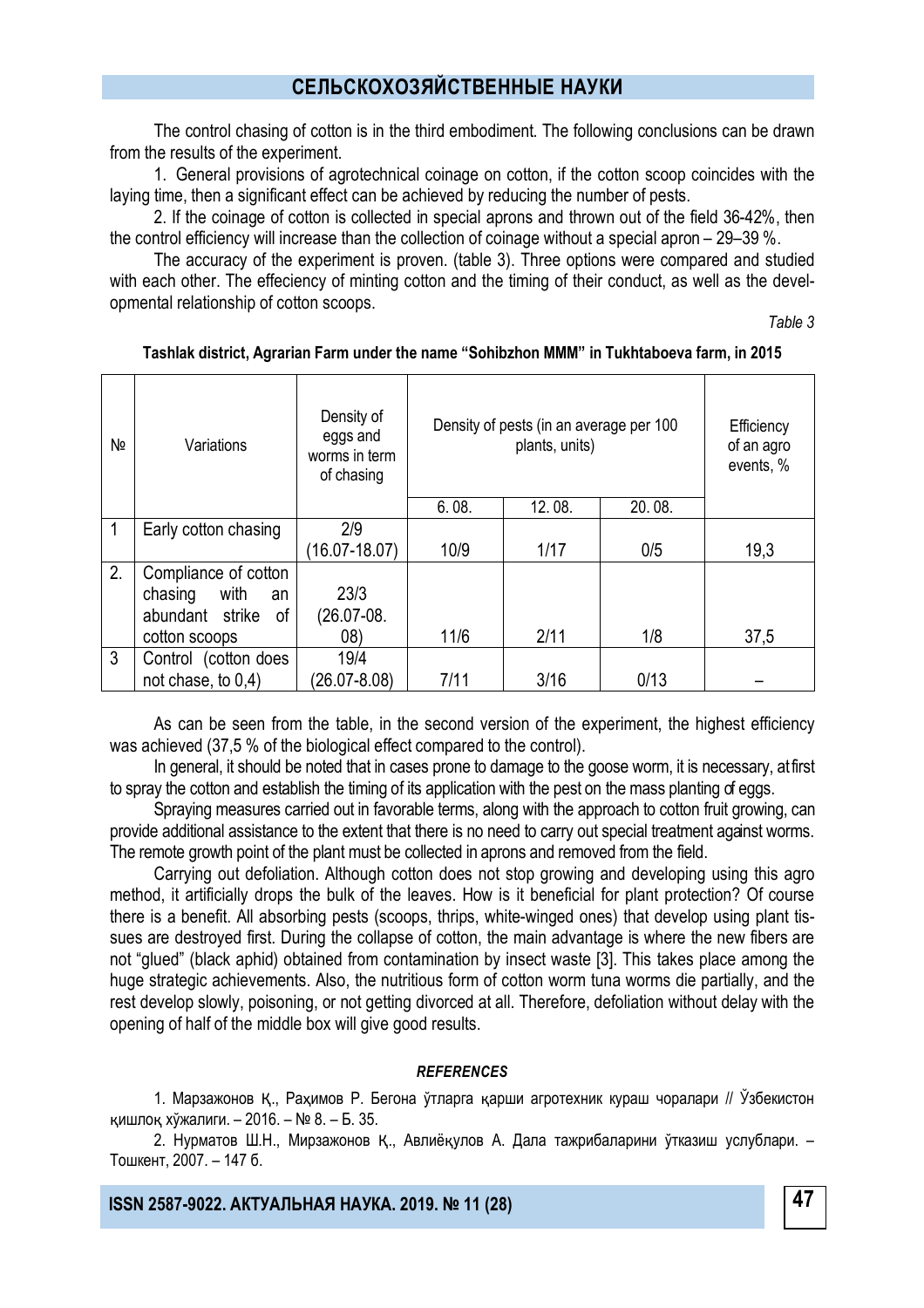The control chasing of cotton is in the third embodiment. The following conclusions can be drawn from the results of the experiment.

1. General provisions of agrotechnical coinage on cotton, if the cotton scoop coincides with the laying time, then a significant effect can be achieved by reducing the number of pests.

2. If the coinage of cotton is collected in special aprons and thrown out of the field 36-42%, then the control efficiency will increase than the collection of coinage without a special apron – 29–39 %.

The accuracy of the experiment is proven. (table 3). Three options were compared and studied with each other. The effeciency of minting cotton and the timing of their conduct, as well as the developmental relationship of cotton scoops.

*Table 3*

| Nº | Variations            | Density of<br>eggs and<br>worms in term<br>of chasing | Density of pests (in an average per 100 | Efficiency<br>of an agro<br>events, % |        |      |
|----|-----------------------|-------------------------------------------------------|-----------------------------------------|---------------------------------------|--------|------|
|    |                       |                                                       | 6.08.                                   | 12.08.                                | 20.08. |      |
|    | Early cotton chasing  | 2/9                                                   |                                         |                                       |        |      |
|    |                       | $(16.07 - 18.07)$                                     | 10/9                                    | 1/17                                  | 0/5    | 19,3 |
| 2. | Compliance of cotton  |                                                       |                                         |                                       |        |      |
|    | with<br>chasing<br>an | 23/3                                                  |                                         |                                       |        |      |
|    | abundant strike<br>0f | $(26.07 - 08.$                                        |                                         |                                       |        |      |
|    | cotton scoops         | (08)                                                  | 11/6                                    | 2/11                                  | 1/8    | 37,5 |
| 3  | Control (cotton does  | 19/4                                                  |                                         |                                       |        |      |
|    | not chase, to $0,4$ ) | (26.07-8.08)                                          | 7/11                                    | 3/16                                  | 0/13   |      |

#### **Tashlak district, Agrarian Farm under the name "Sohibzhon MMM" in Tukhtaboeva farm, in 2015**

As can be seen from the table, in the second version of the experiment, the highest efficiency was achieved (37,5 % of the biological effect compared to the control).

In general, it should be noted that in cases prone to damage to the goose worm, it is necessary, at first to spray the cotton and establish the timing of its application with the pest on the mass planting of eggs.

Spraying measures carried out in favorable terms, along with the approach to cotton fruit growing, can provide additional assistance to the extent that there is no need to carry out special treatment against worms. The remote growth point of the plant must be collected in aprons and removed from the field.

Carrying out defoliation. Although cotton does not stop growing and developing using this agro method, it artificially drops the bulk of the leaves. How is it beneficial for plant protection? Of course there is a benefit. All absorbing pests (scoops, thrips, white-winged ones) that develop using plant tissues are destroyed first. During the collapse of cotton, the main advantage is where the new fibers are not "glued" (black aphid) obtained from contamination by insect waste [3]. This takes place among the huge strategic achievements. Also, the nutritious form of cotton worm tuna worms die partially, and the rest develop slowly, poisoning, or not getting divorced at all. Therefore, defoliation without delay with the opening of half of the middle box will give good results.

#### *REFERENCES*

1. Марзажонов Қ., Раҳимов Р. Бегона ўтларга қарши агротехник кураш чоралари // Ўзбекистон қишлоқ хўжалиги. – 2016. – № 8. – Б. 35.

2. Нурматов Ш.Н., Мирзажонов Қ., Авлиёқулов А. Дала тажрибаларини ўтказиш услублари. – Тошкент, 2007. – 147 б.

**47 ISSN 2587-9022. АКТУАЛЬНАЯ НАУКА. 2019. № 11 (28)**